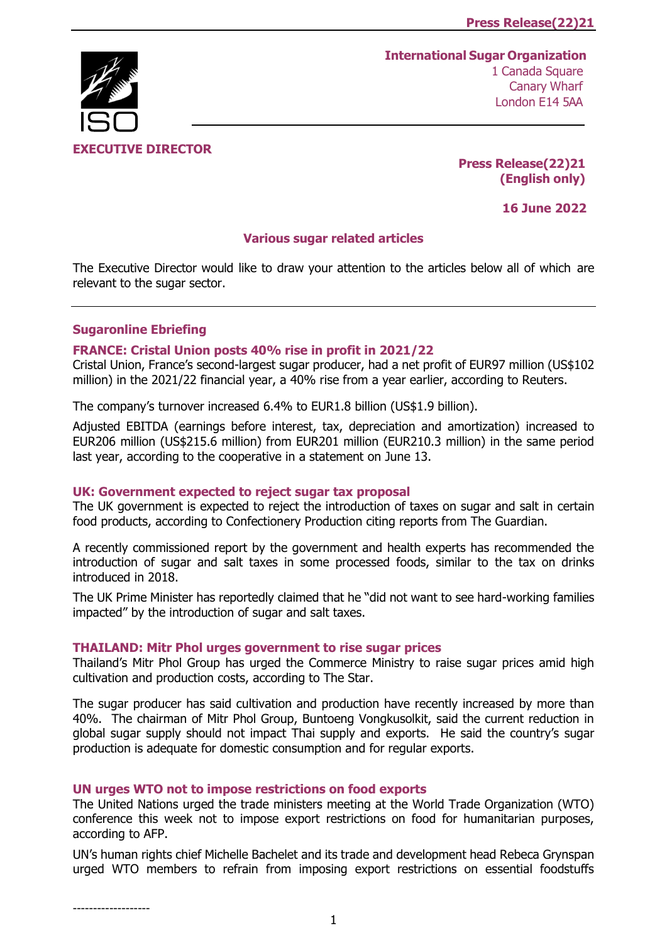# **International Sugar Organization**



 1 Canada Square Canary Wharf London E14 5AA

**Press Release(22)21 (English only)**

**16 June 2022**

### **Various sugar related articles**

The Executive Director would like to draw your attention to the articles below all of which are relevant to the sugar sector.

### **Sugaronline Ebriefing**

## **[FRANCE: Cristal Union posts 40% rise in profit in 2021/22](https://www.sugaronline.com/2022/06/13/france-cristal-union-posts-40-rise-in-profit-in-2021-22/)**

Cristal Union, France's second-largest sugar producer, had a net profit of EUR97 million (US\$102 million) in the 2021/22 financial year, a 40% rise from a year earlier, according to Reuters.

The company's turnover increased 6.4% to EUR1.8 billion (US\$1.9 billion).

Adjusted EBITDA (earnings before interest, tax, depreciation and amortization) increased to EUR206 million (US\$215.6 million) from EUR201 million (EUR210.3 million) in the same period last year, according to the cooperative in a statement on June 13.

### **[UK: Government expected to reject sugar tax proposal](https://www.sugaronline.com/2022/06/13/uk-government-expected-to-reject-sugar-tax-proposal/)**

The UK government is expected to reject the introduction of taxes on sugar and salt in certain food products, according to Confectionery Production citing reports from The Guardian.

A recently commissioned report by the government and health experts has recommended the introduction of sugar and salt taxes in some processed foods, similar to the tax on drinks introduced in 2018.

The UK Prime Minister has reportedly claimed that he "did not want to see hard-working families impacted" by the introduction of sugar and salt taxes.

#### **[THAILAND: Mitr Phol urges government to rise sugar prices](https://www.sugaronline.com/2022/06/13/thailand-mitr-phol-urges-government-to-rise-sugar-prices/)**

Thailand's Mitr Phol Group has urged the Commerce Ministry to raise sugar prices amid high cultivation and production costs, according to The Star.

The sugar producer has said cultivation and production have recently increased by more than 40%. The chairman of Mitr Phol Group, Buntoeng Vongkusolkit, said the current reduction in global sugar supply should not impact Thai supply and exports. He said the country's sugar production is adequate for domestic consumption and for regular exports.

#### **[UN urges WTO not to impose restrictions on food exports](https://www.sugaronline.com/2022/06/14/un-urges-wto-not-to-impose-restrictions-on-food-exports/)**

The United Nations urged the trade ministers meeting at the World Trade Organization (WTO) conference this week not to impose export restrictions on food for humanitarian purposes, according to AFP.

UN's human rights chief Michelle Bachelet and its trade and development head Rebeca Grynspan urged WTO members to refrain from imposing export restrictions on essential foodstuffs

-------------------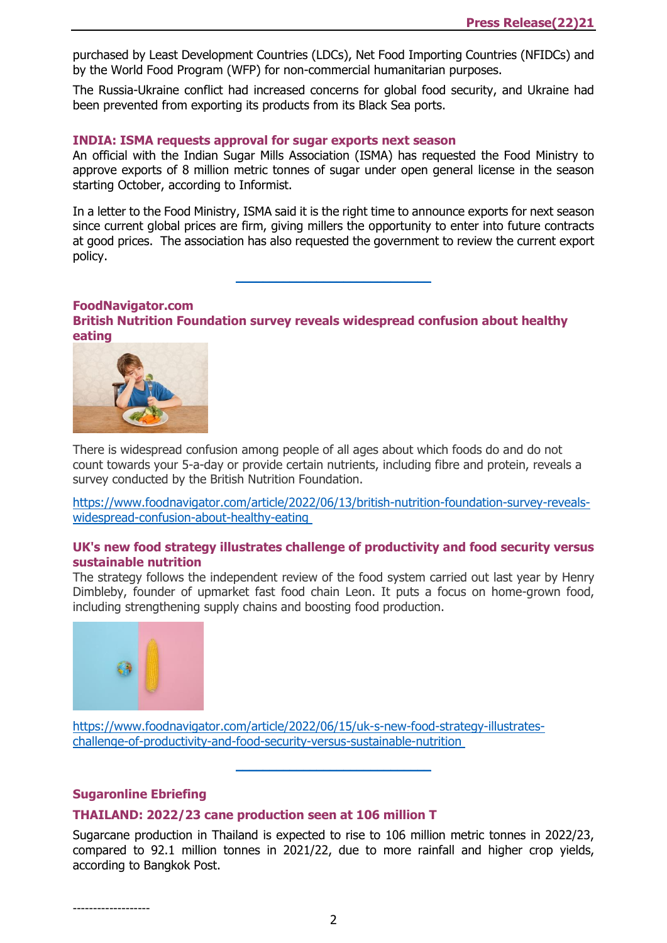purchased by Least Development Countries (LDCs), Net Food Importing Countries (NFIDCs) and by the World Food Program (WFP) for non-commercial humanitarian purposes.

The Russia-Ukraine conflict had increased concerns for global food security, and Ukraine had been prevented from exporting its products from its Black Sea ports.

#### **[INDIA: ISMA requests approval for sugar exports next season](https://www.sugaronline.com/2022/06/14/india-isma-requests-approval-for-sugar-exports-in-next-season/)**

An official with the Indian Sugar Mills Association (ISMA) has requested the Food Ministry to approve exports of 8 million metric tonnes of sugar under open general license in the season starting October, according to Informist.

In a letter to the Food Ministry, ISMA said it is the right time to announce exports for next season since current global prices are firm, giving millers the opportunity to enter into future contracts at good prices. The association has also requested the government to review the current export policy.

\_\_\_\_\_\_\_\_\_\_\_\_\_\_\_\_\_\_\_\_\_\_\_\_\_\_\_\_\_

#### **FoodNavigator.com**

**[British Nutrition Foundation survey reveals widespread confusion about healthy](https://www.foodnavigator.com/Article/2022/06/13/british-nutrition-foundation-survey-reveals-widespread-confusion-about-healthy-eating?utm_source=copyright&utm_medium=OnSite&utm_campaign=copyright)  [eating](https://www.foodnavigator.com/Article/2022/06/13/british-nutrition-foundation-survey-reveals-widespread-confusion-about-healthy-eating?utm_source=copyright&utm_medium=OnSite&utm_campaign=copyright)**



There is widespread confusion among people of all ages about which foods do and do not count towards your 5-a-day or provide certain nutrients, including fibre and protein, reveals a survey conducted by the British Nutrition Foundation.

[https://www.foodnavigator.com/article/2022/06/13/british-nutrition-foundation-survey-reveals](https://www.foodnavigator.com/Article/2022/06/13/british-nutrition-foundation-survey-reveals-widespread-confusion-about-healthy-eating?utm_source=copyright&utm_medium=OnSite&utm_campaign=copyright)[widespread-confusion-about-healthy-eating](https://www.foodnavigator.com/Article/2022/06/13/british-nutrition-foundation-survey-reveals-widespread-confusion-about-healthy-eating?utm_source=copyright&utm_medium=OnSite&utm_campaign=copyright)

### **[UK's new food strategy illustrates challenge of productivity and food security versus](https://www.foodnavigator.com/Article/2022/06/15/uk-s-new-food-strategy-illustrates-challenge-of-productivity-and-food-security-versus-sustainable-nutrition?utm_source=copyright&utm_medium=OnSite&utm_campaign=copyright)  [sustainable nutrition](https://www.foodnavigator.com/Article/2022/06/15/uk-s-new-food-strategy-illustrates-challenge-of-productivity-and-food-security-versus-sustainable-nutrition?utm_source=copyright&utm_medium=OnSite&utm_campaign=copyright)**

The strategy follows the independent review of the food system carried out last year by Henry Dimbleby, founder of upmarket fast food chain Leon. It puts a focus on home-grown food, including strengthening supply chains and boosting food production.



[https://www.foodnavigator.com/article/2022/06/15/uk-s-new-food-strategy-illustrates](https://www.foodnavigator.com/Article/2022/06/15/uk-s-new-food-strategy-illustrates-challenge-of-productivity-and-food-security-versus-sustainable-nutrition?utm_source=copyright&utm_medium=OnSite&utm_campaign=copyright)[challenge-of-productivity-and-food-security-versus-sustainable-nutrition](https://www.foodnavigator.com/Article/2022/06/15/uk-s-new-food-strategy-illustrates-challenge-of-productivity-and-food-security-versus-sustainable-nutrition?utm_source=copyright&utm_medium=OnSite&utm_campaign=copyright)

#### **Sugaronline Ebriefing**

### **[THAILAND: 2022/23 cane production seen at 106 million T](https://www.sugaronline.com/2022/06/15/thailand-2022-23-cane-production-seen-at-106-million-t/)**

Sugarcane production in Thailand is expected to rise to 106 million metric tonnes in 2022/23, compared to 92.1 million tonnes in 2021/22, due to more rainfall and higher crop yields, according to Bangkok Post.

\_\_\_\_\_\_\_\_\_\_\_\_\_\_\_\_\_\_\_\_\_\_\_\_\_\_\_\_\_

-------------------